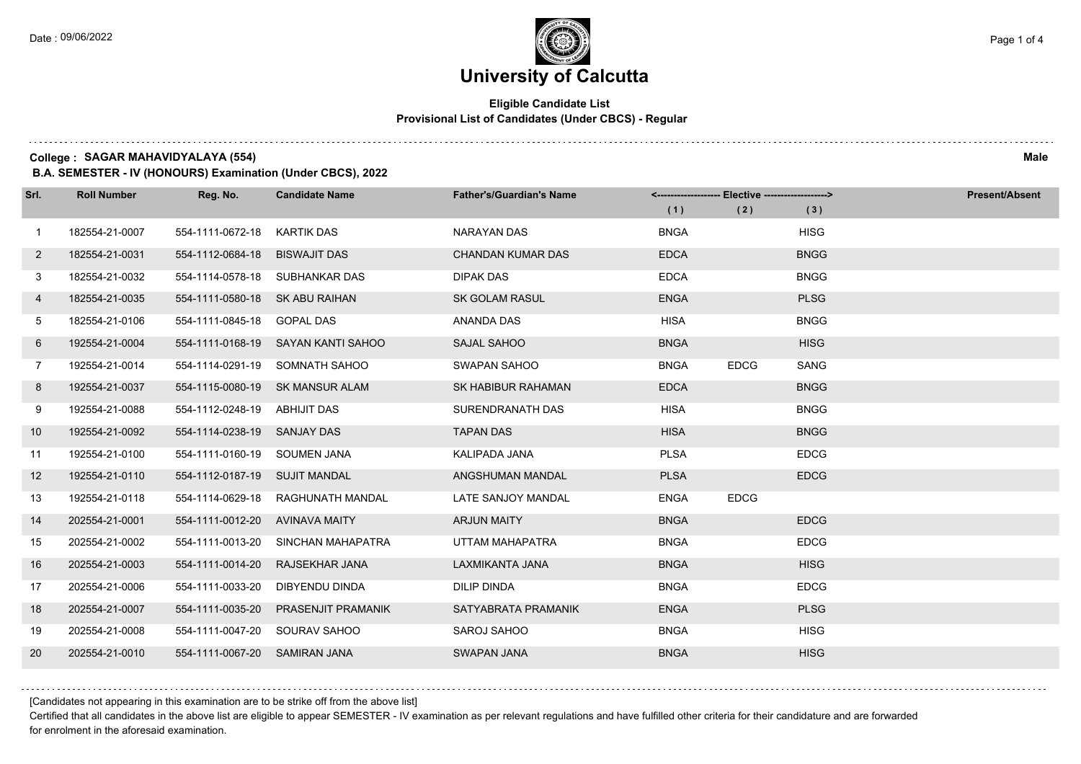$1.111$ 

## **University of Calcutta**

### **Eligible Candidate List Provisional List of Candidates (Under CBCS) - Regular**

**College : SAGAR MAHAVIDYALAYA (554) Male**

**B.A. SEMESTER - IV (HONOURS) Examination (Under CBCS), 2022**

| Srl.         | <b>Roll Number</b> | Reg. No.                       | <b>Candidate Name</b>              | <b>Father's/Guardian's Name</b> | (1)         | <------------------- Elective ------------------><br>(2) | (3)         | <b>Present/Absent</b> |
|--------------|--------------------|--------------------------------|------------------------------------|---------------------------------|-------------|----------------------------------------------------------|-------------|-----------------------|
| $\mathbf{1}$ | 182554-21-0007     | 554-1111-0672-18               | KARTIK DAS                         | NARAYAN DAS                     | <b>BNGA</b> |                                                          | <b>HISG</b> |                       |
| $\mathbf{2}$ | 182554-21-0031     | 554-1112-0684-18               | <b>BISWAJIT DAS</b>                | <b>CHANDAN KUMAR DAS</b>        | <b>EDCA</b> |                                                          | <b>BNGG</b> |                       |
| 3            | 182554-21-0032     |                                | 554-1114-0578-18 SUBHANKAR DAS     | <b>DIPAK DAS</b>                | <b>EDCA</b> |                                                          | <b>BNGG</b> |                       |
| 4            | 182554-21-0035     | 554-1111-0580-18 SK ABU RAIHAN |                                    | <b>SK GOLAM RASUL</b>           | <b>ENGA</b> |                                                          | <b>PLSG</b> |                       |
| 5            | 182554-21-0106     | 554-1111-0845-18 GOPAL DAS     |                                    | ANANDA DAS                      | <b>HISA</b> |                                                          | <b>BNGG</b> |                       |
| 6            | 192554-21-0004     |                                | 554-1111-0168-19 SAYAN KANTI SAHOO | SAJAL SAHOO                     | <b>BNGA</b> |                                                          | <b>HISG</b> |                       |
| $7^{\circ}$  | 192554-21-0014     |                                | 554-1114-0291-19 SOMNATH SAHOO     | SWAPAN SAHOO                    | <b>BNGA</b> | <b>EDCG</b>                                              | <b>SANG</b> |                       |
| 8            | 192554-21-0037     |                                | 554-1115-0080-19 SK MANSUR ALAM    | SK HABIBUR RAHAMAN              | <b>EDCA</b> |                                                          | <b>BNGG</b> |                       |
| 9            | 192554-21-0088     | 554-1112-0248-19 ABHIJIT DAS   |                                    | SURENDRANATH DAS                | <b>HISA</b> |                                                          | <b>BNGG</b> |                       |
| 10           | 192554-21-0092     | 554-1114-0238-19 SANJAY DAS    |                                    | <b>TAPAN DAS</b>                | <b>HISA</b> |                                                          | <b>BNGG</b> |                       |
| 11           | 192554-21-0100     | 554-1111-0160-19 SOUMEN JANA   |                                    | KALIPADA JANA                   | <b>PLSA</b> |                                                          | <b>EDCG</b> |                       |
| 12           | 192554-21-0110     | 554-1112-0187-19 SUJIT MANDAL  |                                    | ANGSHUMAN MANDAL                | <b>PLSA</b> |                                                          | <b>EDCG</b> |                       |
| 13           | 192554-21-0118     | 554-1114-0629-18               | RAGHUNATH MANDAL                   | LATE SANJOY MANDAL              | <b>ENGA</b> | <b>EDCG</b>                                              |             |                       |
| 14           | 202554-21-0001     | 554-1111-0012-20 AVINAVA MAITY |                                    | <b>ARJUN MAITY</b>              | <b>BNGA</b> |                                                          | <b>EDCG</b> |                       |
| 15           | 202554-21-0002     | 554-1111-0013-20               | SINCHAN MAHAPATRA                  | UTTAM MAHAPATRA                 | <b>BNGA</b> |                                                          | <b>EDCG</b> |                       |
| 16           | 202554-21-0003     | 554-1111-0014-20               | RAJSEKHAR JANA                     | LAXMIKANTA JANA                 | <b>BNGA</b> |                                                          | <b>HISG</b> |                       |
| 17           | 202554-21-0006     | 554-1111-0033-20               | DIBYENDU DINDA                     | <b>DILIP DINDA</b>              | <b>BNGA</b> |                                                          | <b>EDCG</b> |                       |
| 18           | 202554-21-0007     | 554-1111-0035-20               | <b>PRASENJIT PRAMANIK</b>          | SATYABRATA PRAMANIK             | <b>ENGA</b> |                                                          | <b>PLSG</b> |                       |
| 19           | 202554-21-0008     | 554-1111-0047-20 SOURAV SAHOO  |                                    | SAROJ SAHOO                     | <b>BNGA</b> |                                                          | <b>HISG</b> |                       |
| 20           | 202554-21-0010     | 554-1111-0067-20 SAMIRAN JANA  |                                    | <b>SWAPAN JANA</b>              | <b>BNGA</b> |                                                          | <b>HISG</b> |                       |

[Candidates not appearing in this examination are to be strike off from the above list]

Certified that all candidates in the above list are eligible to appear SEMESTER - IV examination as per relevant regulations and have fulfilled other criteria for their candidature and are forwarded for enrolment in the aforesaid examination.

and a state of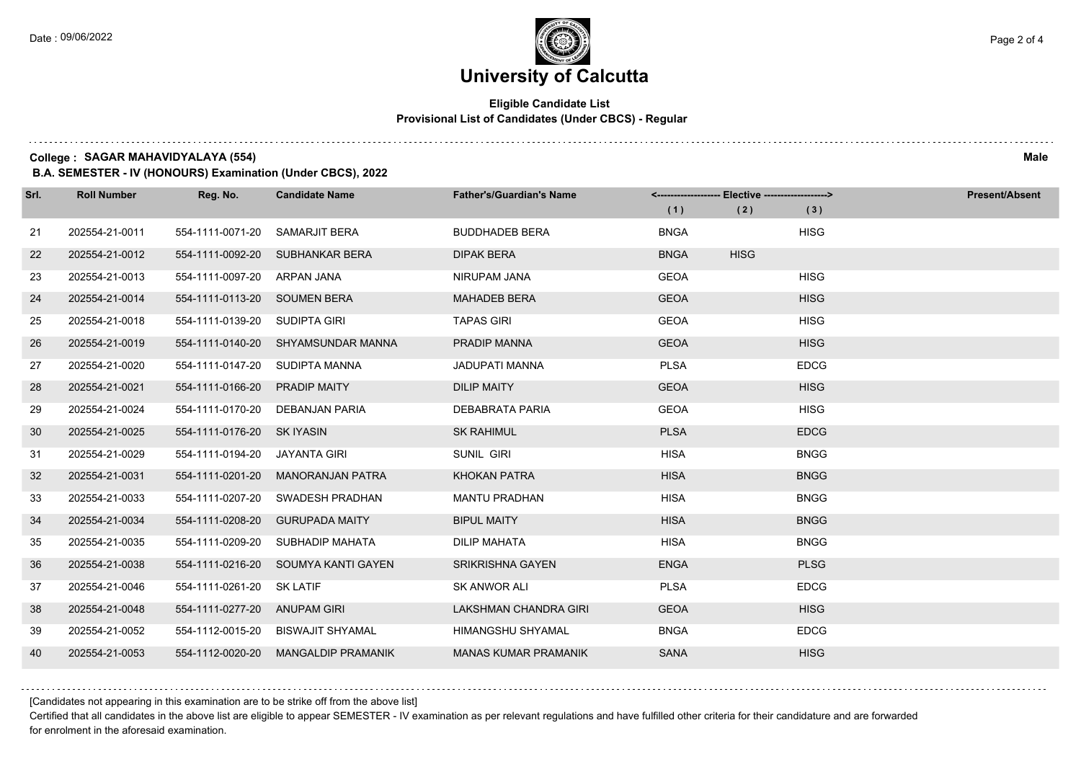# **University of Calcutta**

### **Eligible Candidate List Provisional List of Candidates (Under CBCS) - Regular**

**College : SAGAR MAHAVIDYALAYA (554) Male**

**B.A. SEMESTER - IV (HONOURS) Examination (Under CBCS), 2022**

| Srl. | <b>Roll Number</b> | Reg. No.                       | <b>Candidate Name</b>               | <b>Father's/Guardian's Name</b> |             | <------------------- Elective ------------------> |             | <b>Present/Absent</b> |
|------|--------------------|--------------------------------|-------------------------------------|---------------------------------|-------------|---------------------------------------------------|-------------|-----------------------|
|      |                    |                                |                                     |                                 | (1)         | (2)                                               | (3)         |                       |
| 21   | 202554-21-0011     | 554-1111-0071-20               | SAMARJIT BERA                       | <b>BUDDHADEB BERA</b>           | <b>BNGA</b> |                                                   | <b>HISG</b> |                       |
| 22   | 202554-21-0012     |                                | 554-1111-0092-20 SUBHANKAR BERA     | <b>DIPAK BERA</b>               | <b>BNGA</b> | <b>HISG</b>                                       |             |                       |
| 23   | 202554-21-0013     | 554-1111-0097-20 ARPAN JANA    |                                     | NIRUPAM JANA                    | <b>GEOA</b> |                                                   | <b>HISG</b> |                       |
| 24   | 202554-21-0014     | 554-1111-0113-20 SOUMEN BERA   |                                     | <b>MAHADEB BERA</b>             | <b>GEOA</b> |                                                   | <b>HISG</b> |                       |
| 25   | 202554-21-0018     | 554-1111-0139-20 SUDIPTA GIRI  |                                     | <b>TAPAS GIRI</b>               | <b>GEOA</b> |                                                   | <b>HISG</b> |                       |
| 26   | 202554-21-0019     |                                | 554-1111-0140-20 SHYAMSUNDAR MANNA  | PRADIP MANNA                    | <b>GEOA</b> |                                                   | <b>HISG</b> |                       |
| 27   | 202554-21-0020     | 554-1111-0147-20 SUDIPTA MANNA |                                     | <b>JADUPATI MANNA</b>           | <b>PLSA</b> |                                                   | <b>EDCG</b> |                       |
| 28   | 202554-21-0021     | 554-1111-0166-20               | <b>PRADIP MAITY</b>                 | <b>DILIP MAITY</b>              | <b>GEOA</b> |                                                   | <b>HISG</b> |                       |
| 29   | 202554-21-0024     | 554-1111-0170-20               | DEBANJAN PARIA                      | DEBABRATA PARIA                 | <b>GEOA</b> |                                                   | <b>HISG</b> |                       |
| 30   | 202554-21-0025     | 554-1111-0176-20 SK IYASIN     |                                     | <b>SK RAHIMUL</b>               | <b>PLSA</b> |                                                   | <b>EDCG</b> |                       |
| 31   | 202554-21-0029     | 554-1111-0194-20 JAYANTA GIRI  |                                     | SUNIL GIRI                      | <b>HISA</b> |                                                   | <b>BNGG</b> |                       |
| 32   | 202554-21-0031     | 554-1111-0201-20               | <b>MANORANJAN PATRA</b>             | <b>KHOKAN PATRA</b>             | <b>HISA</b> |                                                   | <b>BNGG</b> |                       |
| 33   | 202554-21-0033     | 554-1111-0207-20               | SWADESH PRADHAN                     | <b>MANTU PRADHAN</b>            | <b>HISA</b> |                                                   | <b>BNGG</b> |                       |
| 34   | 202554-21-0034     | 554-1111-0208-20               | <b>GURUPADA MAITY</b>               | <b>BIPUL MAITY</b>              | <b>HISA</b> |                                                   | <b>BNGG</b> |                       |
| 35   | 202554-21-0035     |                                | 554-1111-0209-20 SUBHADIP MAHATA    | <b>DILIP MAHATA</b>             | <b>HISA</b> |                                                   | <b>BNGG</b> |                       |
| 36   | 202554-21-0038     |                                | 554-1111-0216-20 SOUMYA KANTI GAYEN | <b>SRIKRISHNA GAYEN</b>         | <b>ENGA</b> |                                                   | <b>PLSG</b> |                       |
| 37   | 202554-21-0046     | 554-1111-0261-20               | <b>SK LATIF</b>                     | SK ANWOR ALI                    | <b>PLSA</b> |                                                   | <b>EDCG</b> |                       |
| 38   | 202554-21-0048     | 554-1111-0277-20 ANUPAM GIRI   |                                     | <b>LAKSHMAN CHANDRA GIRI</b>    | <b>GEOA</b> |                                                   | <b>HISG</b> |                       |
| 39   | 202554-21-0052     | 554-1112-0015-20               | BISWAJIT SHYAMAL                    | HIMANGSHU SHYAMAL               | <b>BNGA</b> |                                                   | <b>EDCG</b> |                       |
| 40   | 202554-21-0053     | 554-1112-0020-20               | <b>MANGALDIP PRAMANIK</b>           | <b>MANAS KUMAR PRAMANIK</b>     | <b>SANA</b> |                                                   | <b>HISG</b> |                       |

[Candidates not appearing in this examination are to be strike off from the above list]

Certified that all candidates in the above list are eligible to appear SEMESTER - IV examination as per relevant regulations and have fulfilled other criteria for their candidature and are forwarded for enrolment in the aforesaid examination.

. . . . . . . .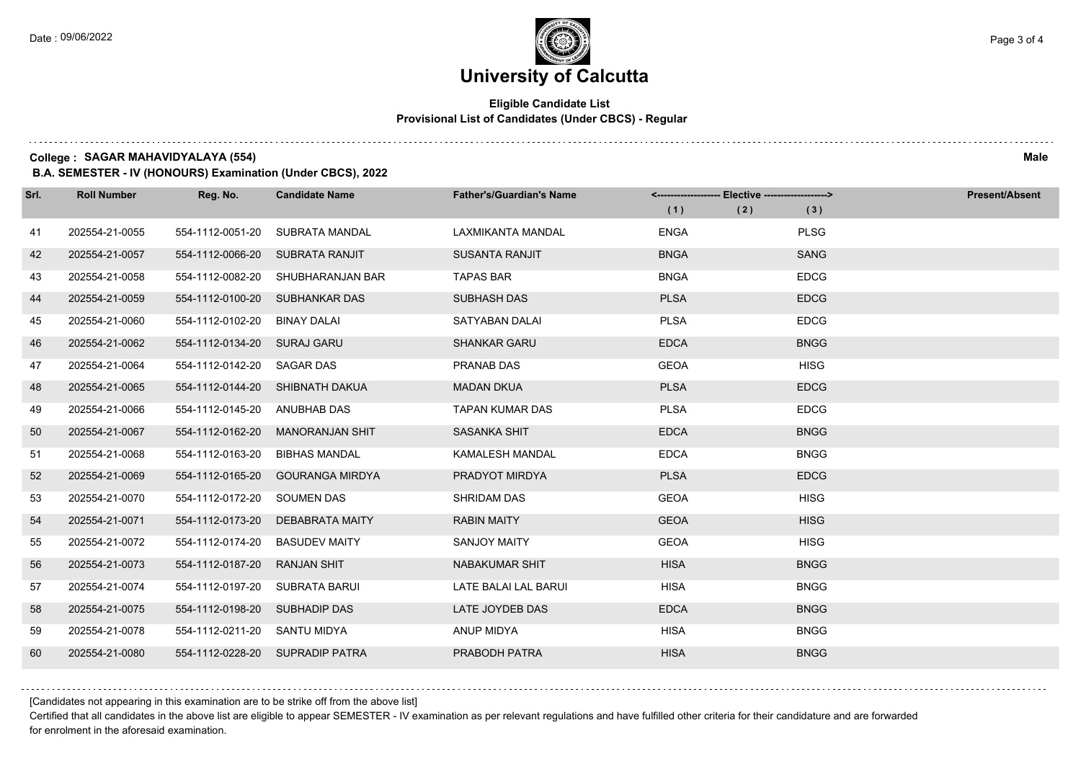## **University of Calcutta**

### **Eligible Candidate List Provisional List of Candidates (Under CBCS) - Regular**

**College : SAGAR MAHAVIDYALAYA (554) Male**

**B.A. SEMESTER - IV (HONOURS) Examination (Under CBCS), 2022**

| Srl. | <b>Roll Number</b> | Reg. No.                     | <b>Candidate Name</b>           | <b>Father's/Guardian's Name</b> | <-------------------- Elective -------------------> |     |             | <b>Present/Absent</b> |
|------|--------------------|------------------------------|---------------------------------|---------------------------------|-----------------------------------------------------|-----|-------------|-----------------------|
|      |                    |                              |                                 |                                 | (1)                                                 | (2) | (3)         |                       |
| 41   | 202554-21-0055     | 554-1112-0051-20             | SUBRATA MANDAL                  | LAXMIKANTA MANDAL               | <b>ENGA</b>                                         |     | <b>PLSG</b> |                       |
| 42   | 202554-21-0057     | 554-1112-0066-20             | SUBRATA RANJIT                  | <b>SUSANTA RANJIT</b>           | <b>BNGA</b>                                         |     | <b>SANG</b> |                       |
| 43   | 202554-21-0058     | 554-1112-0082-20             | SHUBHARANJAN BAR                | <b>TAPAS BAR</b>                | <b>BNGA</b>                                         |     | <b>EDCG</b> |                       |
| 44   | 202554-21-0059     |                              | 554-1112-0100-20 SUBHANKAR DAS  | <b>SUBHASH DAS</b>              | <b>PLSA</b>                                         |     | <b>EDCG</b> |                       |
| 45   | 202554-21-0060     | 554-1112-0102-20             | <b>BINAY DALAI</b>              | <b>SATYABAN DALAI</b>           | <b>PLSA</b>                                         |     | <b>EDCG</b> |                       |
| 46   | 202554-21-0062     | 554-1112-0134-20 SURAJ GARU  |                                 | <b>SHANKAR GARU</b>             | <b>EDCA</b>                                         |     | <b>BNGG</b> |                       |
| 47   | 202554-21-0064     | 554-1112-0142-20 SAGAR DAS   |                                 | <b>PRANAB DAS</b>               | <b>GEOA</b>                                         |     | <b>HISG</b> |                       |
| 48   | 202554-21-0065     |                              | 554-1112-0144-20 SHIBNATH DAKUA | <b>MADAN DKUA</b>               | <b>PLSA</b>                                         |     | <b>EDCG</b> |                       |
| 49   | 202554-21-0066     | 554-1112-0145-20             | ANUBHAB DAS                     | TAPAN KUMAR DAS                 | <b>PLSA</b>                                         |     | <b>EDCG</b> |                       |
| 50   | 202554-21-0067     | 554-1112-0162-20             | <b>MANORANJAN SHIT</b>          | <b>SASANKA SHIT</b>             | <b>EDCA</b>                                         |     | <b>BNGG</b> |                       |
| 51   | 202554-21-0068     | 554-1112-0163-20             | <b>BIBHAS MANDAL</b>            | <b>KAMALESH MANDAL</b>          | <b>EDCA</b>                                         |     | <b>BNGG</b> |                       |
| 52   | 202554-21-0069     | 554-1112-0165-20             | <b>GOURANGA MIRDYA</b>          | PRADYOT MIRDYA                  | <b>PLSA</b>                                         |     | <b>EDCG</b> |                       |
| 53   | 202554-21-0070     | 554-1112-0172-20             | <b>SOUMEN DAS</b>               | <b>SHRIDAM DAS</b>              | <b>GEOA</b>                                         |     | <b>HISG</b> |                       |
| 54   | 202554-21-0071     | 554-1112-0173-20             | DEBABRATA MAITY                 | <b>RABIN MAITY</b>              | <b>GEOA</b>                                         |     | <b>HISG</b> |                       |
| 55   | 202554-21-0072     | 554-1112-0174-20             | <b>BASUDEV MAITY</b>            | <b>SANJOY MAITY</b>             | <b>GEOA</b>                                         |     | <b>HISG</b> |                       |
| 56   | 202554-21-0073     | 554-1112-0187-20             | <b>RANJAN SHIT</b>              | NABAKUMAR SHIT                  | <b>HISA</b>                                         |     | <b>BNGG</b> |                       |
| 57   | 202554-21-0074     | 554-1112-0197-20             | SUBRATA BARUI                   | LATE BALAI LAL BARUI            | <b>HISA</b>                                         |     | <b>BNGG</b> |                       |
| 58   | 202554-21-0075     | 554-1112-0198-20             | SUBHADIP DAS                    | LATE JOYDEB DAS                 | <b>EDCA</b>                                         |     | <b>BNGG</b> |                       |
| 59   | 202554-21-0078     | 554-1112-0211-20 SANTU MIDYA |                                 | ANUP MIDYA                      | <b>HISA</b>                                         |     | <b>BNGG</b> |                       |
| 60   | 202554-21-0080     |                              | 554-1112-0228-20 SUPRADIP PATRA | PRABODH PATRA                   | <b>HISA</b>                                         |     | <b>BNGG</b> |                       |

[Candidates not appearing in this examination are to be strike off from the above list]

Certified that all candidates in the above list are eligible to appear SEMESTER - IV examination as per relevant regulations and have fulfilled other criteria for their candidature and are forwarded for enrolment in the aforesaid examination.

and a state of